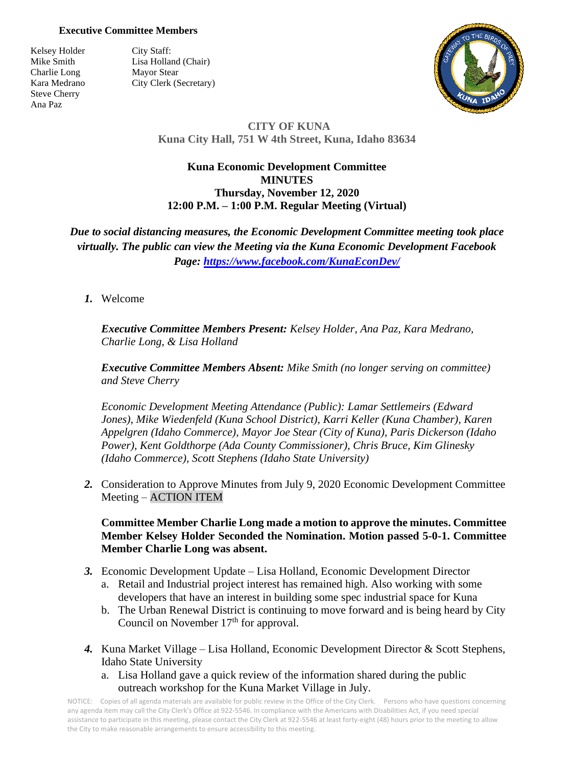## **Executive Committee Members**

Kelsey Holder City Staff: Charlie Long Mayor Stear Steve Cherry Ana Paz

Mike Smith Lisa Holland (Chair) Kara Medrano City Clerk (Secretary)



## **CITY OF KUNA Kuna City Hall, 751 W 4th Street, Kuna, Idaho 83634**

## **Kuna Economic Development Committee MINUTES Thursday, November 12, 2020 12:00 P.M. – 1:00 P.M. Regular Meeting (Virtual)**

*Due to social distancing measures, the Economic Development Committee meeting took place virtually. The public can view the Meeting via the Kuna Economic Development Facebook Page:<https://www.facebook.com/KunaEconDev/>*

## *1.* Welcome

*Executive Committee Members Present: Kelsey Holder, Ana Paz, Kara Medrano, Charlie Long, & Lisa Holland*

*Executive Committee Members Absent: Mike Smith (no longer serving on committee) and Steve Cherry*

*Economic Development Meeting Attendance (Public): Lamar Settlemeirs (Edward Jones), Mike Wiedenfeld (Kuna School District), Karri Keller (Kuna Chamber), Karen Appelgren (Idaho Commerce), Mayor Joe Stear (City of Kuna), Paris Dickerson (Idaho Power), Kent Goldthorpe (Ada County Commissioner), Chris Bruce, Kim Glinesky (Idaho Commerce), Scott Stephens (Idaho State University)*

*2.* Consideration to Approve Minutes from July 9, 2020 Economic Development Committee Meeting – ACTION ITEM

**Committee Member Charlie Long made a motion to approve the minutes. Committee Member Kelsey Holder Seconded the Nomination. Motion passed 5-0-1. Committee Member Charlie Long was absent.**

- *3.* Economic Development Update Lisa Holland, Economic Development Director
	- a. Retail and Industrial project interest has remained high. Also working with some developers that have an interest in building some spec industrial space for Kuna
	- b. The Urban Renewal District is continuing to move forward and is being heard by City Council on November  $17<sup>th</sup>$  for approval.
- *4.* Kuna Market Village Lisa Holland, Economic Development Director & Scott Stephens, Idaho State University
	- a. Lisa Holland gave a quick review of the information shared during the public outreach workshop for the Kuna Market Village in July.